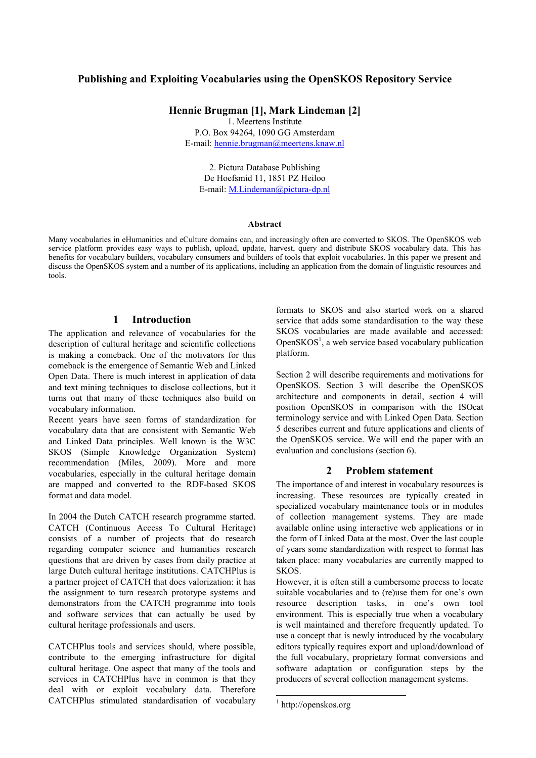# **Publishing and Exploiting Vocabularies using the OpenSKOS Repository Service**

**Hennie Brugman [1], Mark Lindeman [2]**

1. Meertens Institute P.O. Box 94264, 1090 GG Amsterdam E-mail: hennie.brugman@meertens.knaw.nl

2. Pictura Database Publishing De Hoefsmid 11, 1851 PZ Heiloo E-mail: M.Lindeman@pictura-dp.nl

#### **Abstract**

Many vocabularies in eHumanities and eCulture domains can, and increasingly often are converted to SKOS. The OpenSKOS web service platform provides easy ways to publish, upload, update, harvest, query and distribute SKOS vocabulary data. This has benefits for vocabulary builders, vocabulary consumers and builders of tools that exploit vocabularies. In this paper we present and discuss the OpenSKOS system and a number of its applications, including an application from the domain of linguistic resources and tools.

# **1 Introduction**

The application and relevance of vocabularies for the description of cultural heritage and scientific collections is making a comeback. One of the motivators for this comeback is the emergence of Semantic Web and Linked Open Data. There is much interest in application of data and text mining techniques to disclose collections, but it turns out that many of these techniques also build on vocabulary information.

Recent years have seen forms of standardization for vocabulary data that are consistent with Semantic Web and Linked Data principles. Well known is the W3C SKOS (Simple Knowledge Organization System) recommendation (Miles, 2009). More and more vocabularies, especially in the cultural heritage domain are mapped and converted to the RDF-based SKOS format and data model.

In 2004 the Dutch CATCH research programme started. CATCH (Continuous Access To Cultural Heritage) consists of a number of projects that do research regarding computer science and humanities research questions that are driven by cases from daily practice at large Dutch cultural heritage institutions. CATCHPlus is a partner project of CATCH that does valorization: it has the assignment to turn research prototype systems and demonstrators from the CATCH programme into tools and software services that can actually be used by cultural heritage professionals and users.

CATCHPlus tools and services should, where possible, contribute to the emerging infrastructure for digital cultural heritage. One aspect that many of the tools and services in CATCHPlus have in common is that they deal with or exploit vocabulary data. Therefore CATCHPlus stimulated standardisation of vocabulary

formats to SKOS and also started work on a shared service that adds some standardisation to the way these SKOS vocabularies are made available and accessed: Open $SKOS<sup>1</sup>$ , a web service based vocabulary publication platform.

Section 2 will describe requirements and motivations for OpenSKOS. Section 3 will describe the OpenSKOS architecture and components in detail, section 4 will position OpenSKOS in comparison with the ISOcat terminology service and with Linked Open Data. Section 5 describes current and future applications and clients of the OpenSKOS service. We will end the paper with an evaluation and conclusions (section 6).

## **2 Problem statement**

The importance of and interest in vocabulary resources is increasing. These resources are typically created in specialized vocabulary maintenance tools or in modules of collection management systems. They are made available online using interactive web applications or in the form of Linked Data at the most. Over the last couple of years some standardization with respect to format has taken place: many vocabularies are currently mapped to SKOS.

However, it is often still a cumbersome process to locate suitable vocabularies and to (re)use them for one's own resource description tasks, in one's own tool environment. This is especially true when a vocabulary is well maintained and therefore frequently updated. To use a concept that is newly introduced by the vocabulary editors typically requires export and upload/download of the full vocabulary, proprietary format conversions and software adaptation or configuration steps by the producers of several collection management systems.

 <sup>1</sup> http://openskos.org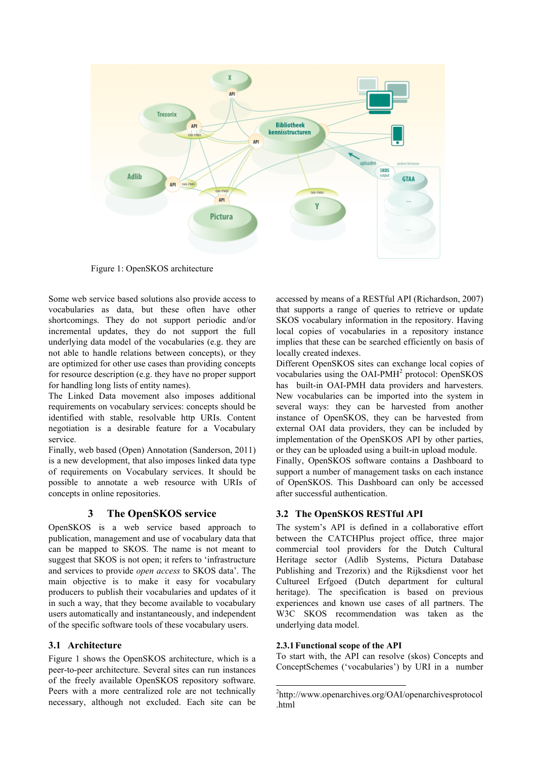

Figure 1: OpenSKOS architecture

Some web service based solutions also provide access to vocabularies as data, but these often have other shortcomings. They do not support periodic and/or incremental updates, they do not support the full underlying data model of the vocabularies (e.g. they are not able to handle relations between concepts), or they are optimized for other use cases than providing concepts for resource description (e.g. they have no proper support for handling long lists of entity names).

The Linked Data movement also imposes additional requirements on vocabulary services: concepts should be identified with stable, resolvable http URIs. Content negotiation is a desirable feature for a Vocabulary service.

Finally, web based (Open) Annotation (Sanderson, 2011) is a new development, that also imposes linked data type of requirements on Vocabulary services. It should be possible to annotate a web resource with URIs of concepts in online repositories.

## **3 The OpenSKOS service**

OpenSKOS is a web service based approach to publication, management and use of vocabulary data that can be mapped to SKOS. The name is not meant to suggest that SKOS is not open; it refers to 'infrastructure and services to provide *open access* to SKOS data'. The main objective is to make it easy for vocabulary producers to publish their vocabularies and updates of it in such a way, that they become available to vocabulary users automatically and instantaneously, and independent of the specific software tools of these vocabulary users.

## **3.1 Architecture**

Figure 1 shows the OpenSKOS architecture, which is a peer-to-peer architecture. Several sites can run instances of the freely available OpenSKOS repository software. Peers with a more centralized role are not technically necessary, although not excluded. Each site can be accessed by means of a RESTful API (Richardson, 2007) that supports a range of queries to retrieve or update SKOS vocabulary information in the repository. Having local copies of vocabularies in a repository instance implies that these can be searched efficiently on basis of locally created indexes.

Different OpenSKOS sites can exchange local copies of vocabularies using the OAI-PMH<sup>2</sup> protocol: OpenSKOS has built-in OAI-PMH data providers and harvesters. New vocabularies can be imported into the system in several ways: they can be harvested from another instance of OpenSKOS, they can be harvested from external OAI data providers, they can be included by implementation of the OpenSKOS API by other parties, or they can be uploaded using a built-in upload module.

Finally, OpenSKOS software contains a Dashboard to support a number of management tasks on each instance of OpenSKOS. This Dashboard can only be accessed after successful authentication.

## **3.2 The OpenSKOS RESTful API**

The system's API is defined in a collaborative effort between the CATCHPlus project office, three major commercial tool providers for the Dutch Cultural Heritage sector (Adlib Systems, Pictura Database Publishing and Trezorix) and the Rijksdienst voor het Cultureel Erfgoed (Dutch department for cultural heritage). The specification is based on previous experiences and known use cases of all partners. The W3C SKOS recommendation was taken as the underlying data model.

#### **2.3.1Functional scope of the API**

To start with, the API can resolve (skos) Concepts and ConceptSchemes ('vocabularies') by URI in a number

 <sup>2</sup> http://www.openarchives.org/OAI/openarchivesprotocol .html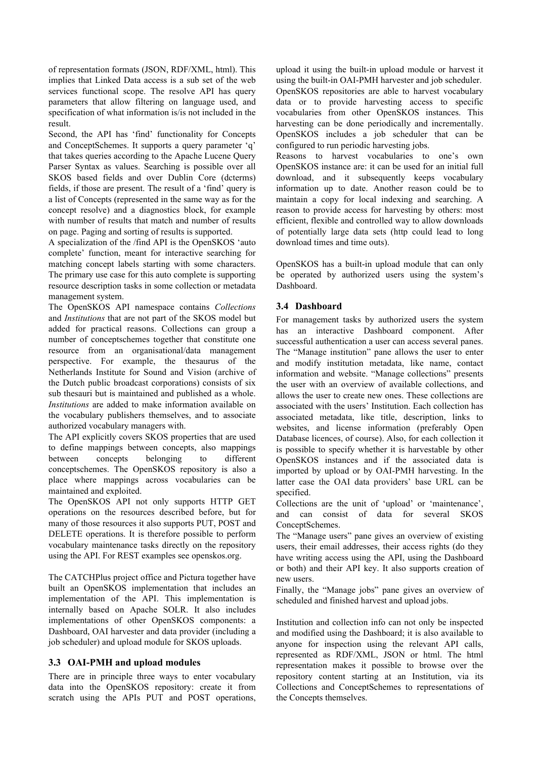of representation formats (JSON, RDF/XML, html). This implies that Linked Data access is a sub set of the web services functional scope. The resolve API has query parameters that allow filtering on language used, and specification of what information is/is not included in the result.

Second, the API has 'find' functionality for Concepts and ConceptSchemes. It supports a query parameter 'q' that takes queries according to the Apache Lucene Query Parser Syntax as values. Searching is possible over all SKOS based fields and over Dublin Core (dcterms) fields, if those are present. The result of a 'find' query is a list of Concepts (represented in the same way as for the concept resolve) and a diagnostics block, for example with number of results that match and number of results on page. Paging and sorting of results is supported.

A specialization of the /find API is the OpenSKOS 'auto complete' function, meant for interactive searching for matching concept labels starting with some characters. The primary use case for this auto complete is supporting resource description tasks in some collection or metadata management system.

The OpenSKOS API namespace contains *Collections* and *Institutions* that are not part of the SKOS model but added for practical reasons. Collections can group a number of conceptschemes together that constitute one resource from an organisational/data management perspective. For example, the thesaurus of the Netherlands Institute for Sound and Vision (archive of the Dutch public broadcast corporations) consists of six sub thesauri but is maintained and published as a whole. *Institutions* are added to make information available on the vocabulary publishers themselves, and to associate authorized vocabulary managers with.

The API explicitly covers SKOS properties that are used to define mappings between concepts, also mappings between concepts belonging to different conceptschemes. The OpenSKOS repository is also a place where mappings across vocabularies can be maintained and exploited.

The OpenSKOS API not only supports HTTP GET operations on the resources described before, but for many of those resources it also supports PUT, POST and DELETE operations. It is therefore possible to perform vocabulary maintenance tasks directly on the repository using the API. For REST examples see openskos.org.

The CATCHPlus project office and Pictura together have built an OpenSKOS implementation that includes an implementation of the API. This implementation is internally based on Apache SOLR. It also includes implementations of other OpenSKOS components: a Dashboard, OAI harvester and data provider (including a job scheduler) and upload module for SKOS uploads.

## **3.3 OAI-PMH and upload modules**

There are in principle three ways to enter vocabulary data into the OpenSKOS repository: create it from scratch using the APIs PUT and POST operations,

upload it using the built-in upload module or harvest it using the built-in OAI-PMH harvester and job scheduler. OpenSKOS repositories are able to harvest vocabulary data or to provide harvesting access to specific vocabularies from other OpenSKOS instances. This harvesting can be done periodically and incrementally. OpenSKOS includes a job scheduler that can be configured to run periodic harvesting jobs.

Reasons to harvest vocabularies to one's own OpenSKOS instance are: it can be used for an initial full download, and it subsequently keeps vocabulary information up to date. Another reason could be to maintain a copy for local indexing and searching. A reason to provide access for harvesting by others: most efficient, flexible and controlled way to allow downloads of potentially large data sets (http could lead to long download times and time outs).

OpenSKOS has a built-in upload module that can only be operated by authorized users using the system's Dashboard.

#### **3.4 Dashboard**

For management tasks by authorized users the system has an interactive Dashboard component. After successful authentication a user can access several panes. The "Manage institution" pane allows the user to enter and modify institution metadata, like name, contact information and website. "Manage collections" presents the user with an overview of available collections, and allows the user to create new ones. These collections are associated with the users' Institution. Each collection has associated metadata, like title, description, links to websites, and license information (preferably Open Database licences, of course). Also, for each collection it is possible to specify whether it is harvestable by other OpenSKOS instances and if the associated data is imported by upload or by OAI-PMH harvesting. In the latter case the OAI data providers' base URL can be specified.

Collections are the unit of 'upload' or 'maintenance', and can consist of data for several SKOS ConceptSchemes.

The "Manage users" pane gives an overview of existing users, their email addresses, their access rights (do they have writing access using the API, using the Dashboard or both) and their API key. It also supports creation of new users.

Finally, the "Manage jobs" pane gives an overview of scheduled and finished harvest and upload jobs.

Institution and collection info can not only be inspected and modified using the Dashboard; it is also available to anyone for inspection using the relevant API calls, represented as RDF/XML, JSON or html. The html representation makes it possible to browse over the repository content starting at an Institution, via its Collections and ConceptSchemes to representations of the Concepts themselves.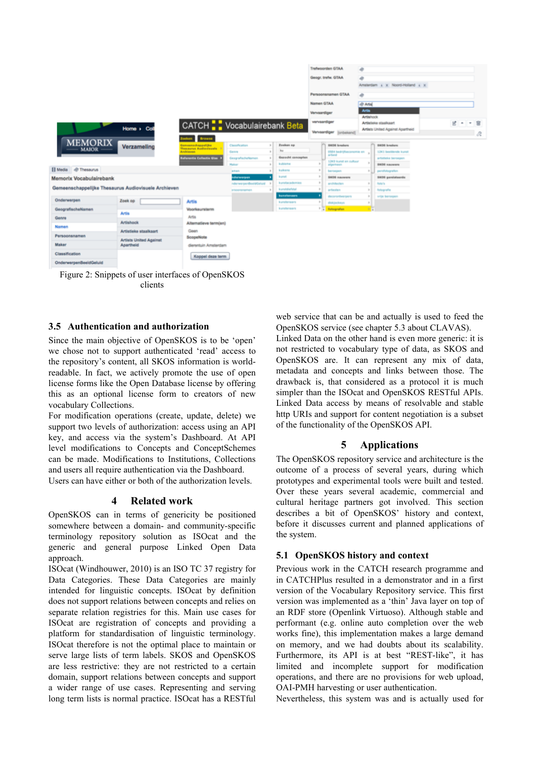

Figure 2: Snippets of user interfaces of OpenSKOS clients

### **3.5 Authentication and authorization**

Since the main objective of OpenSKOS is to be 'open' we chose not to support authenticated 'read' access to the repository's content, all SKOS information is worldreadable. In fact, we actively promote the use of open license forms like the Open Database license by offering this as an optional license form to creators of new vocabulary Collections.

For modification operations (create, update, delete) we support two levels of authorization: access using an API key, and access via the system's Dashboard. At API level modifications to Concepts and ConceptSchemes can be made. Modifications to Institutions, Collections and users all require authentication via the Dashboard.

Users can have either or both of the authorization levels.

## **4 Related work**

OpenSKOS can in terms of genericity be positioned somewhere between a domain- and community-specific terminology repository solution as ISOcat and the generic and general purpose Linked Open Data approach.

ISOcat (Windhouwer, 2010) is an ISO TC 37 registry for Data Categories. These Data Categories are mainly intended for linguistic concepts. ISOcat by definition does not support relations between concepts and relies on separate relation registries for this. Main use cases for ISOcat are registration of concepts and providing a platform for standardisation of linguistic terminology. ISOcat therefore is not the optimal place to maintain or serve large lists of term labels. SKOS and OpenSKOS are less restrictive: they are not restricted to a certain domain, support relations between concepts and support a wider range of use cases. Representing and serving long term lists is normal practice. ISOcat has a RESTful web service that can be and actually is used to feed the OpenSKOS service (see chapter 5.3 about CLAVAS).

Linked Data on the other hand is even more generic: it is not restricted to vocabulary type of data, as SKOS and OpenSKOS are. It can represent any mix of data, metadata and concepts and links between those. The drawback is, that considered as a protocol it is much simpler than the ISOcat and OpenSKOS RESTful APIs. Linked Data access by means of resolvable and stable http URIs and support for content negotiation is a subset of the functionality of the OpenSKOS API.

## **5 Applications**

The OpenSKOS repository service and architecture is the outcome of a process of several years, during which prototypes and experimental tools were built and tested. Over these years several academic, commercial and cultural heritage partners got involved. This section describes a bit of OpenSKOS' history and context, before it discusses current and planned applications of the system.

#### **5.1 OpenSKOS history and context**

Previous work in the CATCH research programme and in CATCHPlus resulted in a demonstrator and in a first version of the Vocabulary Repository service. This first version was implemented as a 'thin' Java layer on top of an RDF store (Openlink Virtuoso). Although stable and performant (e.g. online auto completion over the web works fine), this implementation makes a large demand on memory, and we had doubts about its scalability. Furthermore, its API is at best "REST-like", it has limited and incomplete support for modification operations, and there are no provisions for web upload, OAI-PMH harvesting or user authentication.

Nevertheless, this system was and is actually used for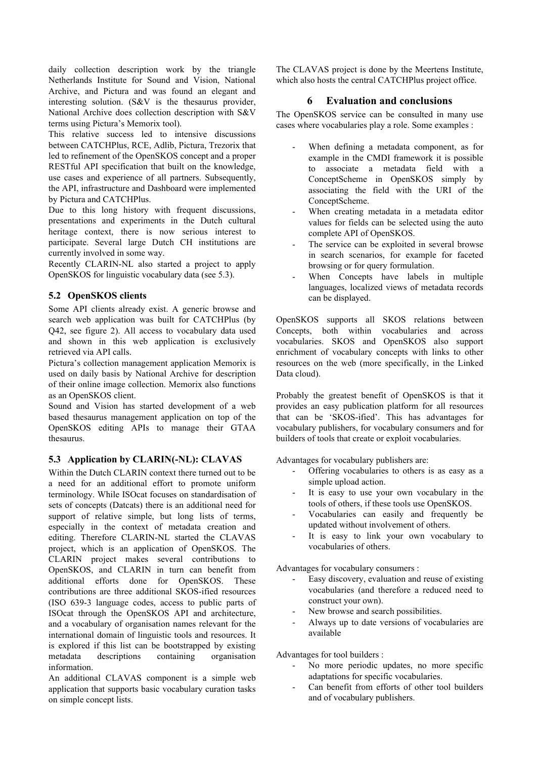daily collection description work by the triangle Netherlands Institute for Sound and Vision, National Archive, and Pictura and was found an elegant and interesting solution. (S&V is the thesaurus provider, National Archive does collection description with S&V terms using Pictura's Memorix tool).

This relative success led to intensive discussions between CATCHPlus, RCE, Adlib, Pictura, Trezorix that led to refinement of the OpenSKOS concept and a proper RESTful API specification that built on the knowledge, use cases and experience of all partners. Subsequently, the API, infrastructure and Dashboard were implemented by Pictura and CATCHPlus.

Due to this long history with frequent discussions, presentations and experiments in the Dutch cultural heritage context, there is now serious interest to participate. Several large Dutch CH institutions are currently involved in some way.

Recently CLARIN-NL also started a project to apply OpenSKOS for linguistic vocabulary data (see 5.3).

## **5.2 OpenSKOS clients**

Some API clients already exist. A generic browse and search web application was built for CATCHPlus (by Q42, see figure 2). All access to vocabulary data used and shown in this web application is exclusively retrieved via API calls.

Pictura's collection management application Memorix is used on daily basis by National Archive for description of their online image collection. Memorix also functions as an OpenSKOS client.

Sound and Vision has started development of a web based thesaurus management application on top of the OpenSKOS editing APIs to manage their GTAA thesaurus.

## **5.3 Application by CLARIN(-NL): CLAVAS**

Within the Dutch CLARIN context there turned out to be a need for an additional effort to promote uniform terminology. While ISOcat focuses on standardisation of sets of concepts (Datcats) there is an additional need for support of relative simple, but long lists of terms, especially in the context of metadata creation and editing. Therefore CLARIN-NL started the CLAVAS project, which is an application of OpenSKOS. The CLARIN project makes several contributions to OpenSKOS, and CLARIN in turn can benefit from additional efforts done for OpenSKOS. These contributions are three additional SKOS-ified resources (ISO 639-3 language codes, access to public parts of ISOcat through the OpenSKOS API and architecture, and a vocabulary of organisation names relevant for the international domain of linguistic tools and resources. It is explored if this list can be bootstrapped by existing metadata descriptions containing organisation information.

An additional CLAVAS component is a simple web application that supports basic vocabulary curation tasks on simple concept lists.

The CLAVAS project is done by the Meertens Institute, which also hosts the central CATCHPlus project office.

# **6 Evaluation and conclusions**

The OpenSKOS service can be consulted in many use cases where vocabularies play a role. Some examples :

- When defining a metadata component, as for example in the CMDI framework it is possible to associate a metadata field with a ConceptScheme in OpenSKOS simply by associating the field with the URI of the ConceptScheme.
- When creating metadata in a metadata editor values for fields can be selected using the auto complete API of OpenSKOS.
- The service can be exploited in several browse in search scenarios, for example for faceted browsing or for query formulation.
- When Concepts have labels in multiple languages, localized views of metadata records can be displayed.

OpenSKOS supports all SKOS relations between Concepts, both within vocabularies and across vocabularies. SKOS and OpenSKOS also support enrichment of vocabulary concepts with links to other resources on the web (more specifically, in the Linked Data cloud).

Probably the greatest benefit of OpenSKOS is that it provides an easy publication platform for all resources that can be 'SKOS-ified'. This has advantages for vocabulary publishers, for vocabulary consumers and for builders of tools that create or exploit vocabularies.

Advantages for vocabulary publishers are:

- Offering vocabularies to others is as easy as a simple upload action.
- It is easy to use your own vocabulary in the tools of others, if these tools use OpenSKOS.
- Vocabularies can easily and frequently be updated without involvement of others.
- It is easy to link your own vocabulary to vocabularies of others.

Advantages for vocabulary consumers :

- Easy discovery, evaluation and reuse of existing vocabularies (and therefore a reduced need to construct your own).
- New browse and search possibilities.
- Always up to date versions of vocabularies are available

Advantages for tool builders :

- No more periodic updates, no more specific adaptations for specific vocabularies.
- Can benefit from efforts of other tool builders and of vocabulary publishers.